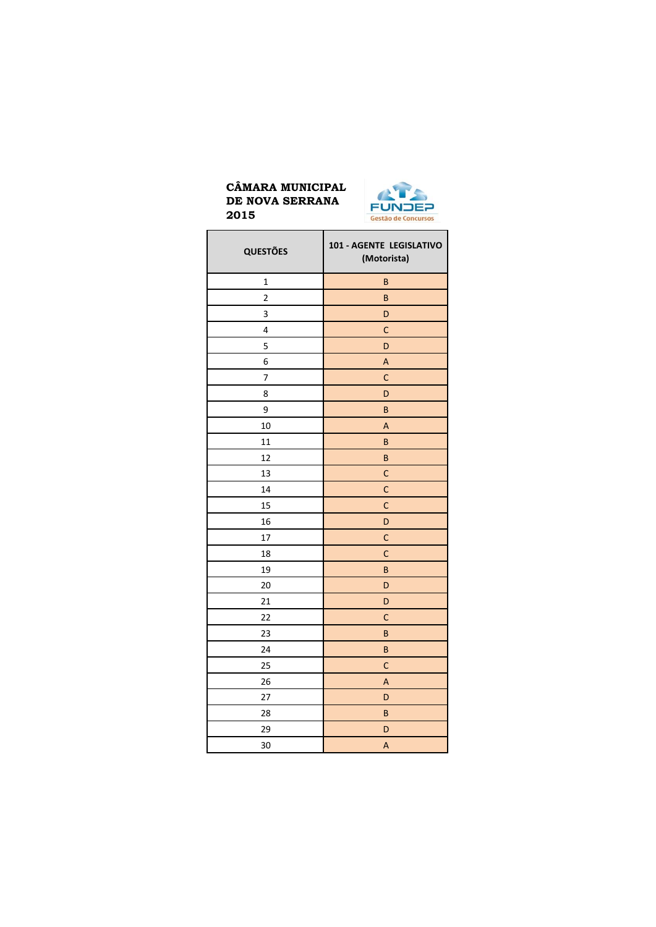

| <b>QUESTÕES</b>         | 101 - AGENTE LEGISLATIVO<br>(Motorista) |
|-------------------------|-----------------------------------------|
| $\mathbf 1$             | $\sf{B}$                                |
| $\overline{\mathbf{c}}$ | B                                       |
| 3                       | D                                       |
| 4                       | $\mathsf{C}$                            |
| 5                       | D                                       |
| 6                       | A                                       |
| 7                       | $\mathsf{C}$                            |
| 8                       | D                                       |
| 9                       | $\sf{B}$                                |
| 10                      | $\overline{\mathsf{A}}$                 |
| 11                      | $\sf B$                                 |
| 12                      | B                                       |
| 13                      | $\mathsf{C}$                            |
| 14                      | $\mathsf{C}$                            |
| 15                      | $\mathsf{C}$                            |
| 16                      | D                                       |
| 17                      | $\mathsf{C}$                            |
| 18                      | $\mathsf{C}$                            |
| 19                      | B                                       |
| 20                      | D                                       |
| 21                      | D                                       |
| 22                      | $\mathsf{C}$                            |
| 23                      | $\sf{B}$                                |
| 24                      | B                                       |
| 25                      | $\mathsf{C}$                            |
| 26                      | A                                       |
| 27                      | D                                       |
| 28                      | B                                       |
| 29                      | D                                       |
| 30                      | A                                       |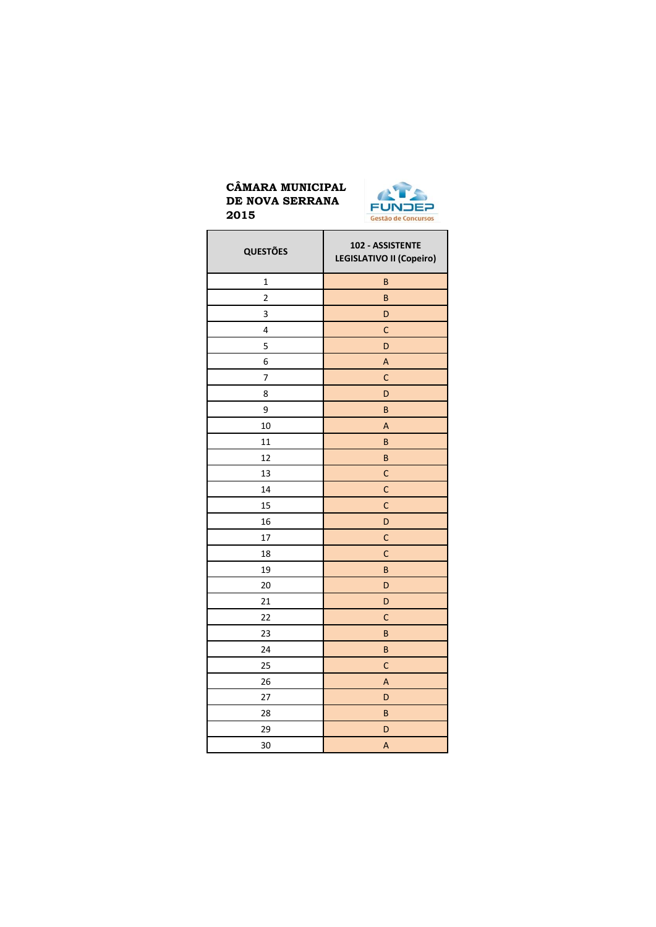

| <b>QUESTÕES</b> | 102 - ASSISTENTE<br>LEGISLATIVO II (Copeiro) |
|-----------------|----------------------------------------------|
| $\mathbf{1}$    | B                                            |
| $\overline{c}$  | B                                            |
| 3               | D                                            |
| 4               | $\mathsf{C}$                                 |
| 5               | D                                            |
| 6               | A                                            |
| 7               | $\overline{C}$                               |
| 8               | D                                            |
| 9               | B                                            |
| 10              | $\overline{\mathsf{A}}$                      |
| 11              | B                                            |
| 12              | B                                            |
| 13              | $\mathsf{C}$                                 |
| 14              | C                                            |
| 15              | $\mathsf{C}$                                 |
| 16              | D                                            |
| 17              | C                                            |
| 18              | $\mathsf{C}$                                 |
| 19              | B                                            |
| 20              | D                                            |
| 21              | D                                            |
| 22              | $\mathsf{C}$                                 |
| 23              | B                                            |
| 24              | B                                            |
| 25              | $\mathsf{C}$                                 |
| 26              | A                                            |
| 27              | D                                            |
| 28              | B                                            |
| 29              | D                                            |
| 30              | A                                            |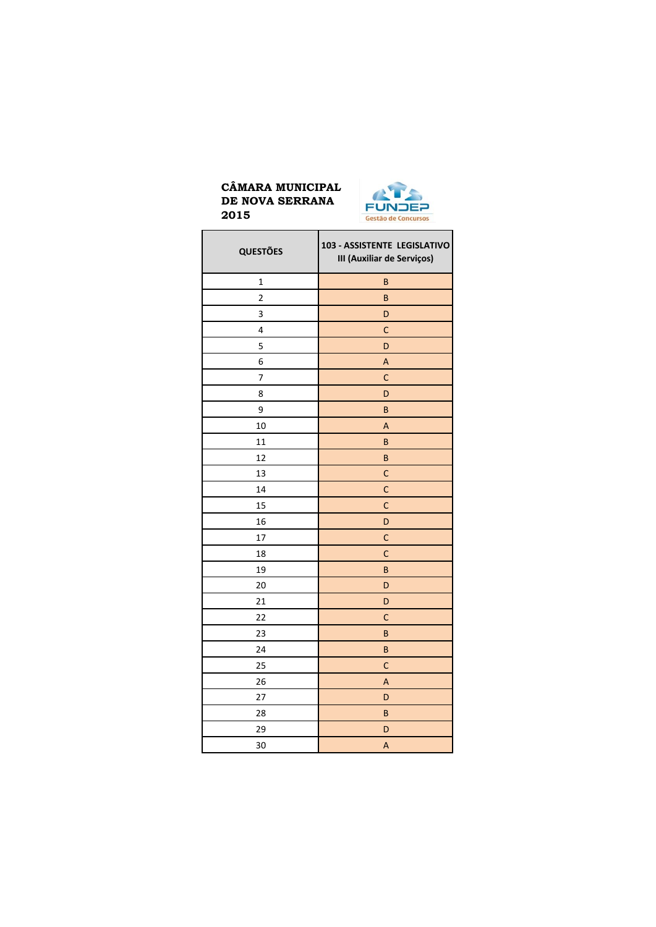

| <b>QUESTÕES</b> | 103 - ASSISTENTE LEGISLATIVO<br>III (Auxiliar de Serviços) |
|-----------------|------------------------------------------------------------|
| $\mathbf{1}$    | $\sf B$                                                    |
| $\overline{c}$  | $\sf B$                                                    |
| 3               | D                                                          |
| 4               | $\mathsf{C}$                                               |
| 5               | D                                                          |
| 6               | A                                                          |
| 7               | $\mathsf{C}$                                               |
| 8               | D                                                          |
| 9               | $\sf{B}$                                                   |
| 10              | A                                                          |
| 11              | $\sf B$                                                    |
| 12              | $\sf B$                                                    |
| 13              | $\mathsf{C}$                                               |
| 14              | $\mathsf{C}$                                               |
| 15              | $\mathsf{C}$                                               |
| 16              | D                                                          |
| 17              | $\mathsf{C}$                                               |
| 18              | $\mathsf{C}$                                               |
| 19              | $\sf B$                                                    |
| 20              | D                                                          |
| 21              | D                                                          |
| 22              | $\mathsf{C}$                                               |
| 23              | $\sf B$                                                    |
| 24              | $\sf{B}$                                                   |
| 25              | $\mathsf{C}$                                               |
| 26              | A                                                          |
| 27              | D                                                          |
| 28              | B                                                          |
| 29              | D                                                          |
| 30              | A                                                          |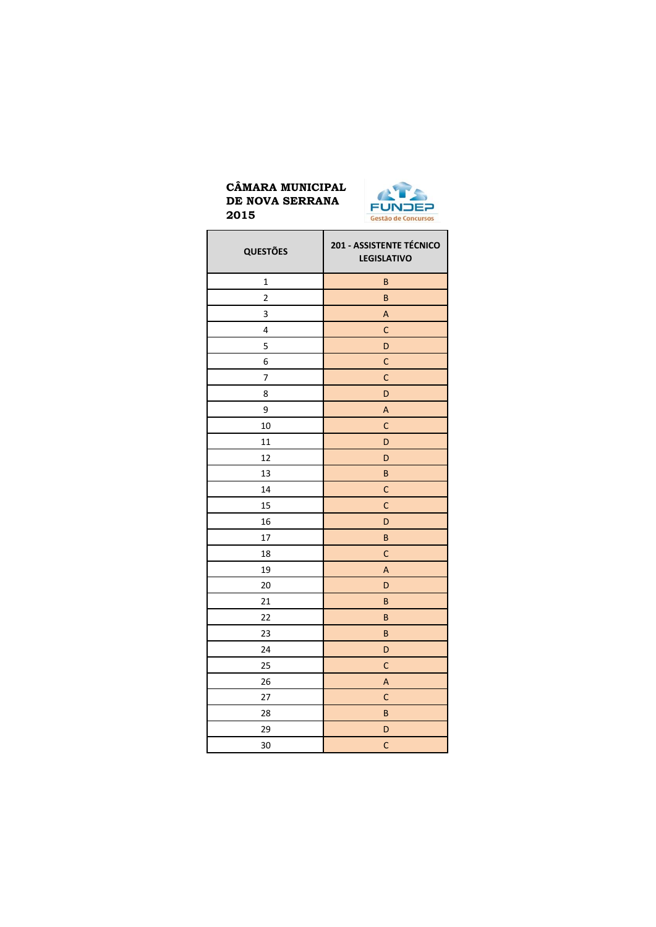

| <b>QUESTÕES</b> | 201 - ASSISTENTE TÉCNICO<br><b>LEGISLATIVO</b> |
|-----------------|------------------------------------------------|
| $\mathbf 1$     | B                                              |
| $\overline{c}$  | B                                              |
| 3               | A                                              |
| 4               | $\mathsf{C}$                                   |
| 5               | D                                              |
| 6               | C                                              |
| 7               | $\mathsf{C}$                                   |
| 8               | D                                              |
| 9               | A                                              |
| 10              | C                                              |
| 11              | D                                              |
| 12              | D                                              |
| 13              | B                                              |
| 14              | $\mathsf{C}$                                   |
| 15              | $\mathsf{C}$                                   |
| 16              | D                                              |
| 17              | B                                              |
| 18              | $\mathsf{C}$                                   |
| 19              | А                                              |
| 20              | D                                              |
| 21              | B                                              |
| 22              | B                                              |
| 23              | B                                              |
| 24              | D                                              |
| 25              | $\mathsf{C}$                                   |
| 26              | A                                              |
| 27              | C                                              |
| 28              | B                                              |
| 29              | D                                              |
| 30              | $\mathsf{C}$                                   |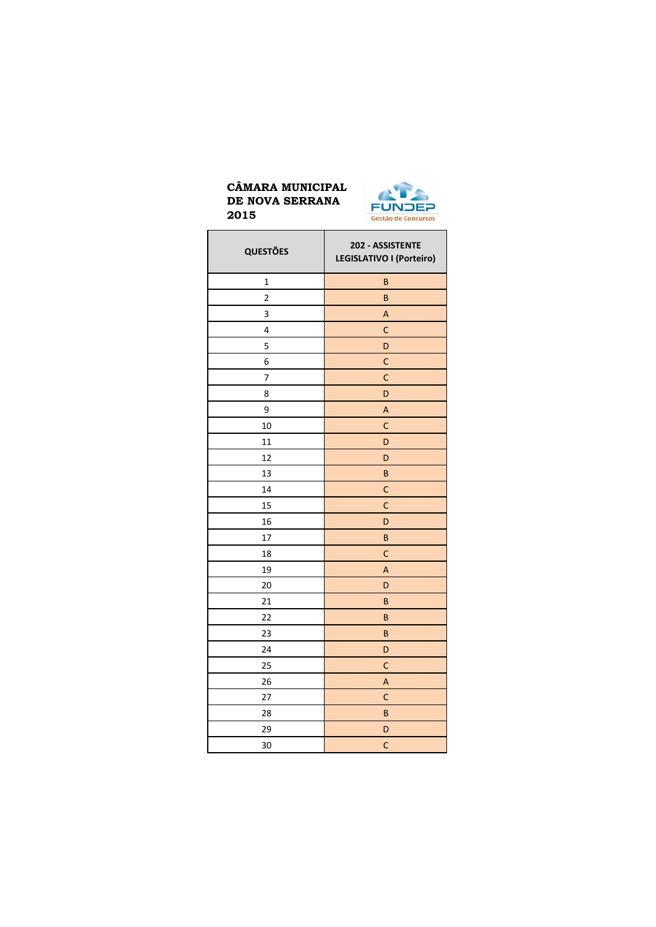

| <b>QUESTÕES</b>         | 202 - ASSISTENTE<br>LEGISLATIVO I (Porteiro) |
|-------------------------|----------------------------------------------|
| $\mathbf{1}$            | B                                            |
| $\overline{\mathbf{c}}$ | B                                            |
| 3                       | A                                            |
| 4                       | $\mathsf{C}$                                 |
| 5                       | D                                            |
| 6                       | $\mathsf{C}$                                 |
| 7                       | C                                            |
| 8                       | D                                            |
| 9                       | A                                            |
| 10                      | $\mathsf{C}$                                 |
| 11                      | D                                            |
| 12                      | D                                            |
| 13                      | B                                            |
| 14                      | $\mathsf{C}$                                 |
| 15                      | $\mathsf{C}$                                 |
| 16                      | D                                            |
| 17                      | B                                            |
| 18                      | $\mathsf{C}$                                 |
| 19                      | A                                            |
| 20                      | D                                            |
| 21                      | B                                            |
| 22                      | B                                            |
| 23                      | B                                            |
| 24                      | D                                            |
| 25                      | $\mathsf{C}$                                 |
| 26                      | A                                            |
| 27                      | C                                            |
| 28                      | B                                            |
| 29                      | D                                            |
| 30                      | C                                            |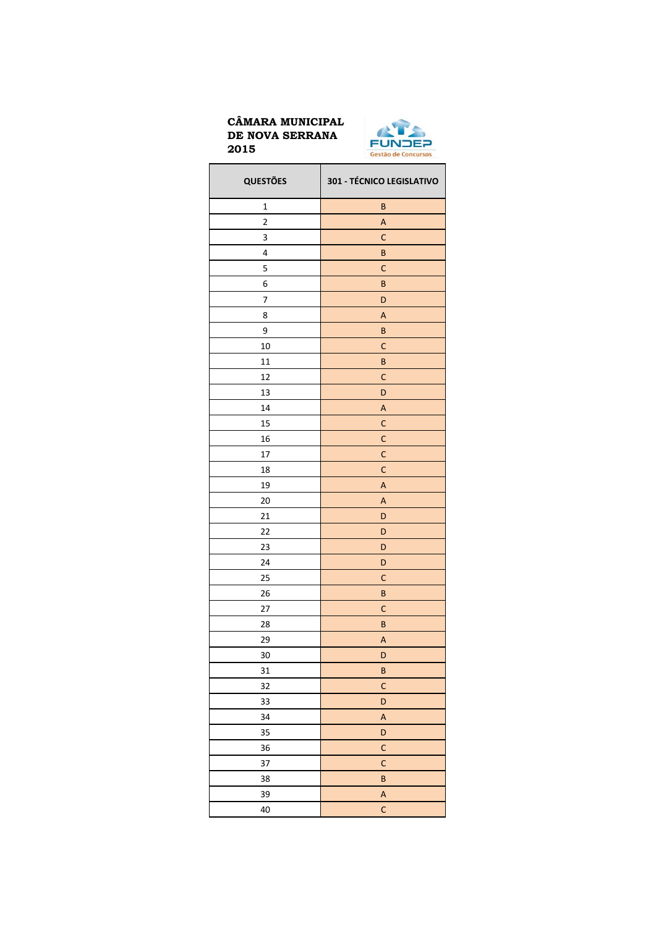

| <b>QUESTÕES</b>          | 301 - TÉCNICO LEGISLATIVO |
|--------------------------|---------------------------|
| $\mathbf 1$              | B                         |
| 2                        | A                         |
| 3                        | $\mathsf{C}$              |
| 4                        | B                         |
| 5                        | C                         |
| 6                        | B                         |
| $\overline{\mathcal{I}}$ | D                         |
| 8                        | A                         |
| 9                        | B                         |
| 10                       | $\mathsf{C}$              |
| 11                       | B                         |
| 12                       | $\mathsf{C}$              |
| 13                       | D                         |
| 14                       | A                         |
| 15                       | $\mathsf{C}$              |
| 16                       | C                         |
| 17                       | $\mathsf{C}$              |
| 18                       | $\mathsf{C}$              |
| 19                       | A                         |
| 20                       | A                         |
| 21                       | D                         |
| 22                       | D                         |
| 23                       | D                         |
| 24                       | D                         |
| 25                       | $\mathsf{C}$              |
| 26                       | $\sf B$                   |
| 27                       | $\mathsf{C}$              |
| 28                       | $\sf B$                   |
| 29                       | A                         |
| 30                       | D                         |
| 31                       | $\sf B$                   |
| 32                       | $\mathsf{C}$              |
| 33                       | D                         |
| 34                       | $\boldsymbol{\mathsf{A}}$ |
| 35                       | D                         |
| 36                       | $\mathsf{C}$              |
| 37                       | $\mathsf{C}$              |
| 38                       | B                         |
| 39                       | $\boldsymbol{\mathsf{A}}$ |
| 40                       | $\mathsf{C}$              |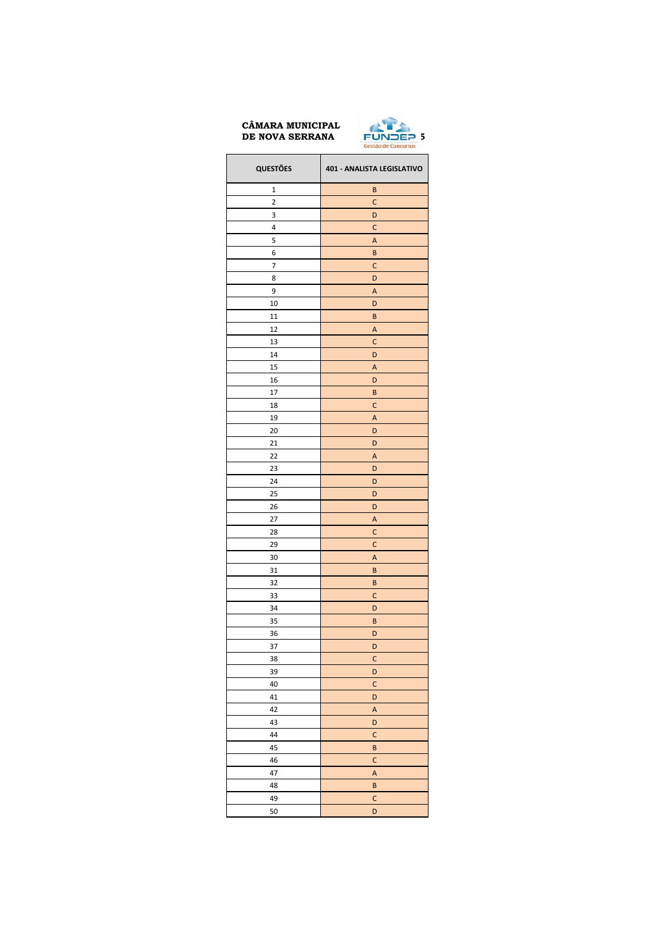

| <b>QUESTÕES</b> | 401 - ANALISTA LEGISLATIVO |
|-----------------|----------------------------|
| 1               | B                          |
| 2               | $\mathsf{C}$               |
| 3               | D                          |
| 4               | C                          |
| 5               | A                          |
| 6               | B                          |
| 7               | $\mathsf{C}$               |
| 8               | D                          |
| 9               | Α                          |
| 10              | D                          |
| 11              | B                          |
| 12              | A                          |
| 13              | C                          |
| 14              | D                          |
| 15              | A                          |
| 16              | D                          |
| 17              | B                          |
| 18              | C                          |
| 19              | Α                          |
| 20              | D                          |
| 21              | D                          |
| 22              | Α                          |
| 23              | D                          |
| 24              | D                          |
| 25              | D                          |
| 26              | D                          |
| 27              | A                          |
| 28              | C                          |
| 29              | C                          |
| 30              | A                          |
| 31              | B                          |
| 32              | B                          |
| 33              | C                          |
| 34              | D                          |
| 35              | B                          |
| 36              | D                          |
| 37              | D                          |
| 38              | $\mathsf{C}$               |
| 39              | D                          |
| 40              | $\mathsf{C}$               |
| 41              | D                          |
| 42              | $\overline{\mathsf{A}}$    |
| 43              | D                          |
| 44              | $\mathsf{C}$               |
| 45              | B                          |
| 46              | $\mathsf{C}$               |
| 47              | $\mathsf{A}$               |
| 48              | B                          |
| 49              | $\mathsf{C}$               |
| 50              | D                          |